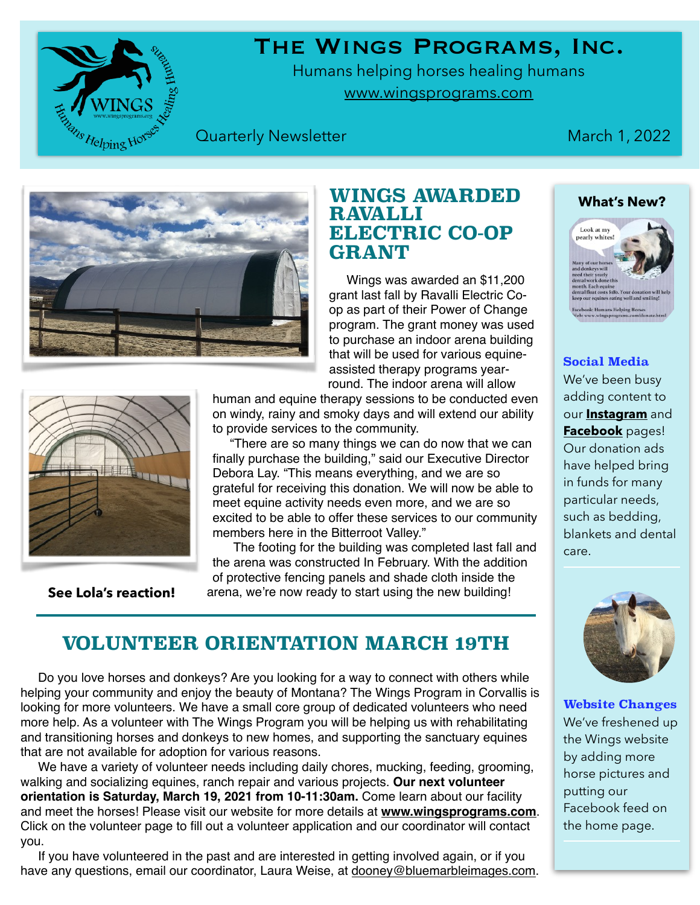The Wings Programs, Inc.

Humans helping horses healing humans [www.wingsprograms.com](http://www.wingsprograms.com)

## **Quarterly Newsletter March 1, 2022**

# **WINGS AWARDED RAVALLI ELECTRIC CO-OP**

 Wings was awarded an \$11,200 grant last fall by Ravalli Electric Coop as part of their Power of Change program. The grant money was used to purchase an indoor arena building that will be used for various equineassisted therapy programs yearround. The indoor arena will allow

human and equine therapy sessions to be conducted even

 "There are so many things we can do now that we can finally purchase the building," said our Executive Director grateful for receiving this donation. We will now be able to excited to be able to offer these services to our community

 The footing for the building was completed last fall and the arena was constructed In February. With the addition of protective fencing panels and shade cloth inside the

on windy, rainy and smoky days and will extend our ability to provide services to the community.

**GRANT** 

Debora Lay. "This means everything, and we are so meet equine activity needs even more, and we are so members here in the Bitterroot Valley."

arena, we're now ready to start using the new building!

**[See Lola's reaction!](http://www.facebook.com/HumansHelpingHorses/videos/1125904658262111)**

id.

## **VOLUNTEER ORIENTATION MARCH 19TH**

 Do you love horses and donkeys? Are you looking for a way to connect with others while helping your community and enjoy the beauty of Montana? The Wings Program in Corvallis is looking for more volunteers. We have a small core group of dedicated volunteers who need more help. As a volunteer with The Wings Program you will be helping us with rehabilitating and transitioning horses and donkeys to new homes, and supporting the sanctuary equines that are not available for adoption for various reasons.

 We have a variety of volunteer needs including daily chores, mucking, feeding, grooming, walking and socializing equines, ranch repair and various projects. **Our next volunteer orientation is Saturday, March 19, 2021 from 10-11:30am.** Come learn about our facility and meet the horses! Please visit our website for more details at **[www.wingsprograms.com](http://www.wingsprograms.com/volunteers.html)**. Click on the volunteer page to fill out a volunteer application and our coordinator will contact you.

 If you have volunteered in the past and are interested in getting involved again, or if you have any questions, email our coordinator, Laura Weise, at [dooney@bluemarbleimages.com.](mailto:dooney@bluemarbleimages.com)







### **Social Media**

We've been busy adding content to our **[Instagram](http://www.instagram.com/wingsprograms)** and **[Facebook](http://www.facebook.com/HumansHelpingHorses)** pages! Our donation ads have helped bring in funds for many particular needs, such as bedding, blankets and dental care.



**Website Changes**  We've freshened up the Wings website by adding more horse pictures and putting our Facebook feed on the home page.